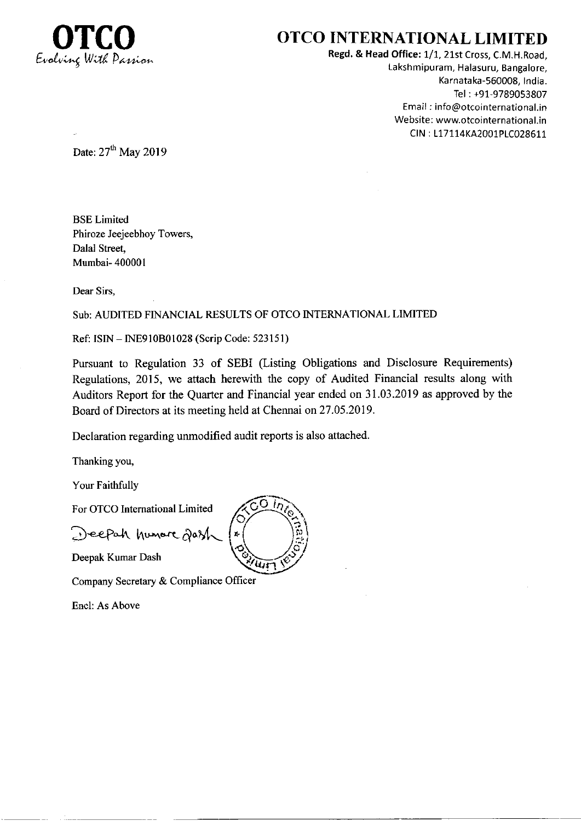

## OTCO INTERNATIONAL LIMITED

Regd. & Head Office: 1/1, 21st Cross, C.M.H.Road. Laksh mipu ram, Halasuru, Bangalore, Karnataka-560008, India. Tel : +91-9789053807 Email ; info@otcointernational.in Website: www.otcointernational.in CtN : 117114KA2001p1C028611

Date:  $27<sup>th</sup>$  May 2019

BSE Limited Phiroze Jeejeebhoy Towers, Dalal Street, Mumbai- 400001

Dear Sirs,

#### Sub: AUDITED FINANCIAL RESULTS OF OTCO INTERNATIONAL LIMITED

Ref: ISIN - lNE910B0l028 (Scrip Code: 523151)

Pursuant to Regulation 33 of SEBI (Listing Obligations and Disclosure Requirements) Regulations, 2015, we attach herewith the copy of Audited Financial results along with Auditors Report for the Quarter and Financial year ended on 31.03.2019 as approved by the Board of Directors at its meeting held at Chennai on27.05.2019.

Declaration regarding unmodified audit reports is also attached.

Thanking you,

Your Faithfully

For OTCO Intemational Limited

Deepah humore dass

Deepak Kumar Dash

Company Secretary & Compliance Officer

Encl: As Above

 $\circ$  $O(n)$  $u\bar{r}$ 4  $\mathbf{e}$  $\tilde{\mathbf{c}}$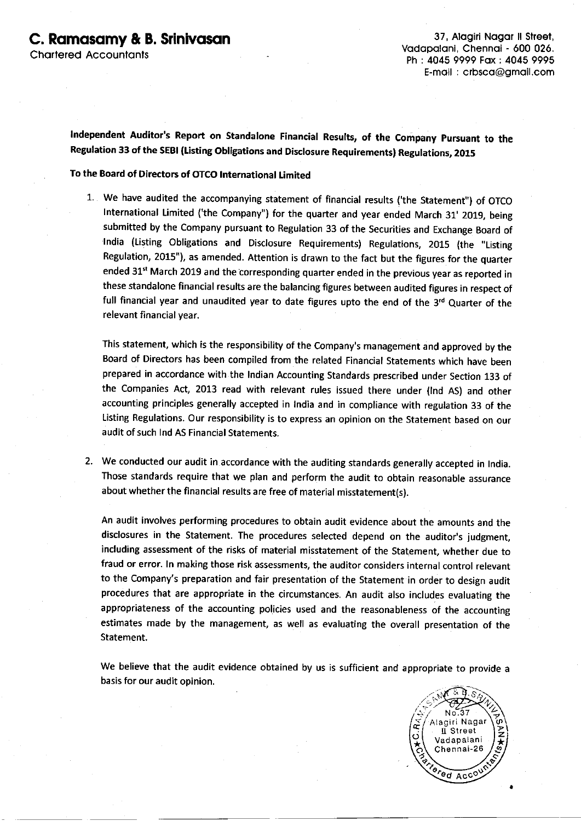Vodopoloni, Chennoi - 600 026. Ph : 4045 9999 Fox : 4045 9995 E-moil : crbsco@gmoil.com

lndependent Auditor's Report on standalone Financial Results, of the company pursuant to the Regulation 33 of the SEBI (Listing Obligations and Disclosure Requirements) Regulations, 2015

#### To the Board of Directors of OTCO lnternational Limited

1. We have audited the accompanying statement of financial results ('the Statement") of OTCO International Limited ('the Company") for the quarter and year ended March 31' 2019, being submitted by the company pursuant to Regulation 33 of the securities and Exchange Board of lndia (Listing obligations and Disclosure Requirements) Regulations, 2015 (the "Listing Regulation, 2015"), as amended. Attention is drawn to the fact but the figures for the quarter ended 31<sup>st</sup> March 2019 and the corresponding quarter ended in the previous year as reported in these standalone financial results are the balancing figures between audited figures in respect of full financial year and unaudited year to date figures upto the end of the 3rd Quarter of the relevant financial year.

This statement, which is the responsibility of the Company's management and approved by the Board of Directors has been compiled from the related Financial statements which have been prepared in accordance with the lndian Accounting standards prescribed under section 133 of the Companies Act, 2013 read with relevant rules issued there under (lnd AS) and other accounting principles generally accepted in lndia and in compliance with regulation 33 of the listing Regulations. our responsibility is to express an opinion on the statement based on our audit of such Ind AS Financial Statements.

2. We conducted our audit in accordance with the auditing standards generally accepted in India. Those standards require that we plan and perform the audit to obtain reasonable assurance about whether the financial results are free of material misstatement(s).

An audit involves performing procedures to obtain audit evidence about the amounts and the disclosures in the Statement. The procedures selected depend on the auditor's judgment, including assessment of the risks of material misstatement of the statement, whether due to fraud or error. ln making those risk assessments, the auditor considers internal control relevant to the company's preparation and fair presentation of the statement in order to design audit procedures that are appropriate in the circumstances. An audit also includes evaluating the appropriateness of the accounting policies used and the reasonableness of the accounting estimates made by the management, as well as evaluating the overall presentation of the Statement.

We believe that the audit evidence obtained by us is sufficient and appropriate to provide <sup>a</sup> basis for our audit opinion

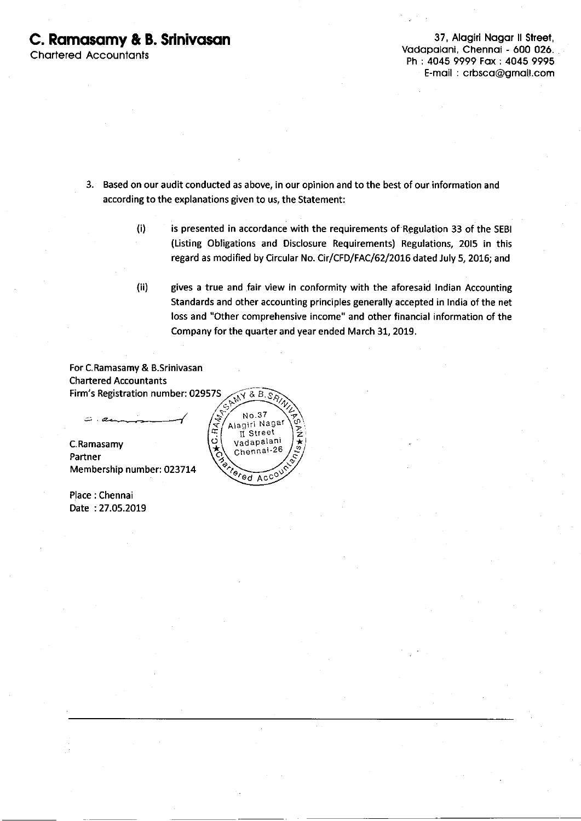### C. Ramasamy & B. Srinivasan 37, Alagiri Nagar II Street,

**Chartered Accountants** 

Vodopoloni, Chennoi - 600 026. Ph : 4045 9999 Fox: 4045 9995 E-moil : crbsco@gmoil.com

3. Based on our audit conducted as above, in our opinion and to the best of our information and according to the explanations given to us, the Statement:

> (i) is presented in accordance with the requirements of Regulation 33 of the SEBI (Listing Obligations and Disclosure Requirements) Regulations, 2015 in this regard as modified by Circular No. Cir/CFD/FAC/62/2016 dated July 5, 2016; and

> (ii) gives a true and fair view in conformity with the aforesaid lndian Accounting Standards and other accounting principles generally accepted in lndia of the net loss and "Other comprehensive income" and other financial information of the Company for the quarter and year ended March 31, 2019.

For C.Ramasamy & B.Srinlvasan Chartered Accountants Firm's Registration number: 029575  $\sqrt{8}$  B.s.

C.Ramasamy  $\overrightarrow{Q}$  adapalani  $\overrightarrow{Z}$ Partner Membership number: 023714

Place: Chennai Date :27.05.2019

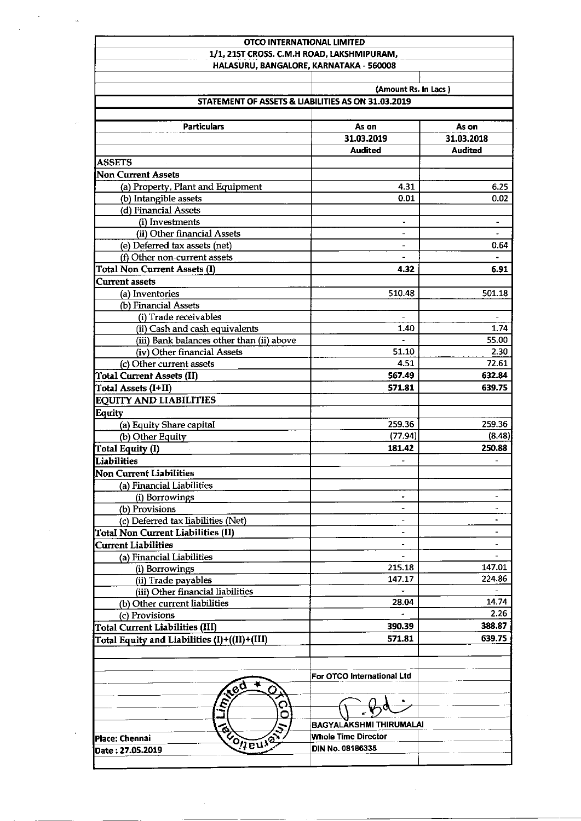| OTCO INTERNATIONAL LIMITED<br>1/1, 215T CROSS. C.M.H ROAD, LAKSHMIPURAM, |                                                                            |                          |  |  |  |
|--------------------------------------------------------------------------|----------------------------------------------------------------------------|--------------------------|--|--|--|
| HALASURU, BANGALORE, KARNATAKA - 560008                                  |                                                                            |                          |  |  |  |
|                                                                          |                                                                            |                          |  |  |  |
|                                                                          | (Amount Rs. In Lacs)<br>STATEMENT OF ASSETS & LIABILITIES AS ON 31.03.2019 |                          |  |  |  |
|                                                                          |                                                                            |                          |  |  |  |
| <b>Particulars</b>                                                       | As on                                                                      | As on                    |  |  |  |
|                                                                          | 31.03.2019                                                                 | 31.03.2018               |  |  |  |
|                                                                          | <b>Audited</b>                                                             | <b>Audited</b>           |  |  |  |
| <b>ASSETS</b>                                                            |                                                                            |                          |  |  |  |
| <b>Non Current Assets</b>                                                |                                                                            |                          |  |  |  |
| (a) Property, Plant and Equipment                                        | 4.31                                                                       | 6.25                     |  |  |  |
| (b) Intangible assets                                                    | 0.01                                                                       | 0.02                     |  |  |  |
| (d) Financial Assets                                                     |                                                                            |                          |  |  |  |
| (i) Investments                                                          | ٠                                                                          | $\overline{\phantom{a}}$ |  |  |  |
| (ii) Other financial Assets                                              | $\overline{\phantom{0}}$                                                   | $\blacksquare$           |  |  |  |
| (e) Deferred tax assets (net)                                            | Ξ.                                                                         | 0.64                     |  |  |  |
| (f) Other non-current assets                                             | $\overline{\phantom{0}}$                                                   | $\blacksquare$           |  |  |  |
| <b>Total Non Current Assets (I)</b>                                      | 4.32                                                                       | 6.91                     |  |  |  |
| <b>Current assets</b>                                                    |                                                                            |                          |  |  |  |
| (a) Inventories                                                          | 510.48                                                                     | 501.18                   |  |  |  |
| (b) Financial Assets                                                     |                                                                            |                          |  |  |  |
| (i) Trade receivables                                                    | $\blacksquare$                                                             | $\overline{\phantom{a}}$ |  |  |  |
| (ii) Cash and cash equivalents                                           | 1.40                                                                       | 1.74                     |  |  |  |
| (iii) Bank balances other than (ii) above<br>(iv) Other financial Assets | 51.10                                                                      | 55.00<br>2.30            |  |  |  |
| (c) Other current assets                                                 | 4.51                                                                       | 72.61                    |  |  |  |
| <b>Total Current Assets (II)</b>                                         | 567.49                                                                     | 632.84                   |  |  |  |
| Total Assets (I+II)                                                      | 571.81                                                                     | 639.75                   |  |  |  |
| <b>EQUITY AND LIABILITIES</b>                                            |                                                                            |                          |  |  |  |
|                                                                          |                                                                            |                          |  |  |  |
| Equity                                                                   | 259.36                                                                     | 259.36                   |  |  |  |
| (a) Equity Share capital<br>(b) Other Equity                             | (77.94)                                                                    | (8.48)                   |  |  |  |
| Total Equity (I)                                                         | 181.42                                                                     | 250.88                   |  |  |  |
| Liabilities                                                              |                                                                            | ÷.                       |  |  |  |
|                                                                          |                                                                            |                          |  |  |  |
| Non Current Liabilities                                                  |                                                                            |                          |  |  |  |
| (a) Financial Liabilities                                                | $\blacksquare$                                                             | -                        |  |  |  |
| (i) Borrowings<br>(b) Provisions                                         | $\overline{\phantom{a}}$                                                   | ۰                        |  |  |  |
| (c) Deferred tax liabilities (Net)                                       |                                                                            |                          |  |  |  |
| <b>Total Non Current Liabilities (II)</b>                                | $\overline{\phantom{a}}$                                                   | $\overline{\phantom{a}}$ |  |  |  |
| <b>Current Liabilities</b>                                               | $\overline{\phantom{a}}$                                                   | $\overline{\phantom{a}}$ |  |  |  |
| (a) Financial Liabilities                                                | $\blacksquare$                                                             | -                        |  |  |  |
| (i) Borrowings                                                           | 215.18                                                                     | 147.01                   |  |  |  |
| (ii) Trade payables                                                      | 147.17                                                                     | 224.86                   |  |  |  |
| (iii) Other financial liabilities                                        |                                                                            |                          |  |  |  |
| (b) Other current liabilities                                            | 28.04                                                                      | 14.74                    |  |  |  |
| (c) Provisions                                                           | $\frac{1}{2}$                                                              | 2.26                     |  |  |  |
| <b>Total Current Liabilities (III)</b>                                   | 390.39                                                                     | 388.87                   |  |  |  |
|                                                                          | 571.81                                                                     | 639.75                   |  |  |  |
| Total Equity and Liabilities (I)+((II)+(III)                             |                                                                            |                          |  |  |  |
| $se^{\mathsf{c}}$                                                        | For OTCO International Ltd                                                 |                          |  |  |  |
| iin);<br>O                                                               |                                                                            |                          |  |  |  |
|                                                                          | BAGYALAKSHMI THIRUMALAI                                                    |                          |  |  |  |
|                                                                          |                                                                            |                          |  |  |  |
| CONEUION<br>Place: Chennai                                               | <b>Whole Time Director</b>                                                 |                          |  |  |  |
| Date: 27.05.2019                                                         | DIN No. 08186335                                                           |                          |  |  |  |

 $\bar{\gamma}$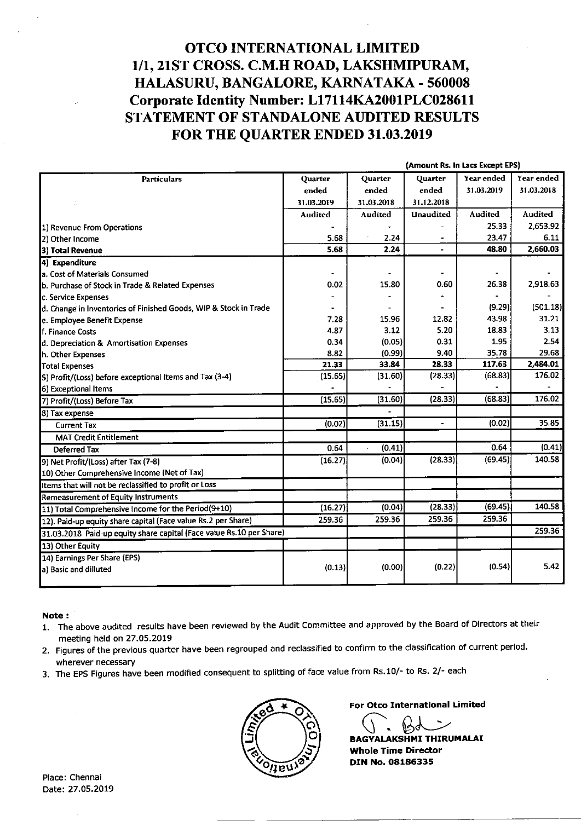### OTCO INTERNATIONAL LIMITED 1/1,21ST CROSS. C.M.H ROAD, LAKSHMIPURAM, HALASURU, BANGALORE, KARNATAKA - 560008 Corporate Identity Number: L17114KA2001PLC028611 STATEMENT OF STANDALONE AUDITED RESULTS FOR THE QUARTER ENDED 31.03.2019

|                                                                      |                | (Amount Rs. In Lacs Except EPS) |                |                |            |
|----------------------------------------------------------------------|----------------|---------------------------------|----------------|----------------|------------|
| <b>Particulars</b>                                                   | Quarter        | Quarter                         | Quarter        | Year ended     | Year ended |
|                                                                      | ended          | ended                           | ended          | 31.03.2019     | 31.03.2018 |
| Ŵ                                                                    | 31.03.2019     | 31.03.2018                      | 31,12,2018     |                |            |
|                                                                      | <b>Audited</b> | Audited                         | Unaudited      | <b>Audited</b> | Audited    |
| 1) Revenue From Operations                                           |                |                                 |                | 25.33          | 2.653.92   |
| 2) Other Income                                                      | 5.68           | 2.24                            |                | 23.47          | 6.11       |
| 3) Total Revenue                                                     | 5.68           | 2.24                            | $\overline{a}$ | 48.80          | 2,660.03   |
| 4) Expenditure                                                       |                |                                 |                |                |            |
| a. Cost of Materials Consumed                                        |                |                                 |                |                |            |
| b. Purchase of Stock in Trade & Related Expenses                     | 0.02           | 15.80                           | 0.60           | 26.38          | 2,918.63   |
| c. Service Expenses                                                  |                |                                 |                |                |            |
| d. Change in Inventories of Finished Goods, WIP & Stock in Trade     |                |                                 |                | (9.29)         | (501.18)   |
| e. Employee Benefit Expense                                          | 7.28           | 15.96                           | 12.82          | 43.98          | 31.21      |
| f. Finance Costs                                                     | 4.87           | 3.12                            | 5.20           | 18.83          | 3.13       |
| d. Depreciation & Amortisation Expenses                              | 0.34           | (0.05)                          | 0.31           | 1.95           | 2.54       |
| h. Other Expenses                                                    | 8.82           | (0.99)                          | 9.40           | 35.78          | 29.68      |
| <b>Total Expenses</b>                                                | 21.33          | 33.84                           | 28.33          | 117.63         | 2,484.01   |
| 5) Profit/(Loss) before exceptional Items and Tax (3-4)              | (15.65)        | (31.60)                         | (28.33)        | (68.83)        | 176.02     |
| 6) Exceptional Items                                                 |                |                                 |                |                |            |
| 7) Profit/(Loss) Before Tax                                          | (15.65)        | (31.60)                         | (28.33)        | (68.83)        | 176.02     |
| 8) Tax expense                                                       |                |                                 |                |                |            |
| <b>Current Tax</b>                                                   | (0.02)         | (31.15)                         |                | (0.02)         | 35.85      |
| <b>MAT Credit Entitlement</b>                                        |                |                                 |                |                |            |
| <b>Deferred Tax</b>                                                  | 0.64           | (0.41)                          |                | 0.64           | (0.41)     |
| 9) Net Profit/(Loss) after Tax (7-8)                                 | (16.27)        | (0.04)                          | (28.33)        | (69.45)        | 140.58     |
| 10) Other Comprehensive Income (Net of Tax)                          |                |                                 |                |                |            |
| Items that will not be reclassified to profit or Loss                |                |                                 |                |                |            |
| <b>Remeasurement of Equity Instruments</b>                           |                |                                 |                |                |            |
| 11) Total Comprehensive Income for the Period(9+10)                  | (16.27)        | (0.04)                          | (28.33)        | (69.45)        | 140.58     |
| 12). Paid-up equity share capital (Face value Rs.2 per Share)        | 259.36         | 259.36                          | 259.36         | 259.36         |            |
| 31.03.2018 Paid-up equity share capital (Face value Rs.10 per Share) |                |                                 |                |                | 259.36     |
| 13) Other Equity                                                     |                |                                 |                |                |            |
| 14) Earnings Per Share (EPS)                                         |                |                                 |                |                |            |
| a) Basic and dilluted                                                | (0.13)         | (0.00)                          | (0.22)         | (0.54)         | 5.42       |
|                                                                      |                |                                 |                |                |            |

Note :

- l. The above audited results have been reviewed by the Audit Committee and approved by the Board of Directors at their meeting held on 27.O5.2OL9
- 2. Figures of the previous quarter have been regrouped and reclassified to conflrm to the classification of current period. wherever necessary
- 3. The EPS Figures have been modified consequent to splitting of face value from Rs.10/- to Rs. 2/- each



For Otco International Limited

BAGYALAKSHMI THIRUMALAI

Whole Time Director DIN No. 08186335